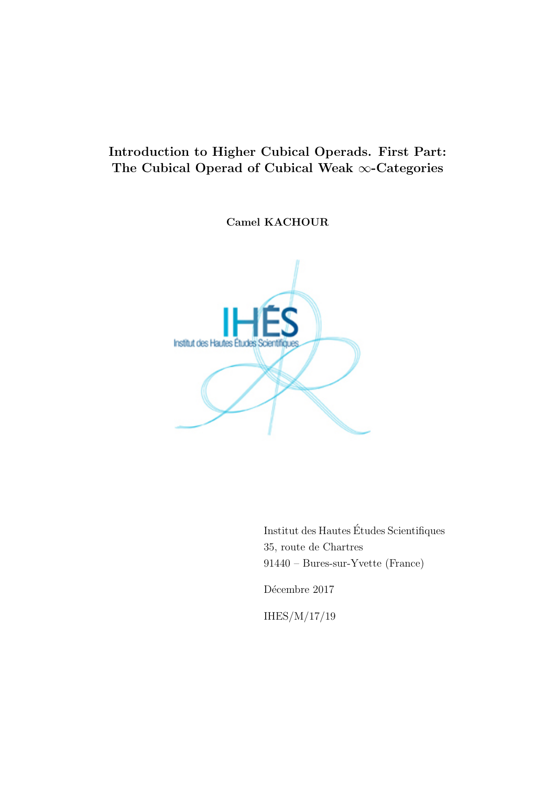# Introduction to Higher Cubical Operads. First Part: The Cubical Operad of Cubical Weak ∞-Categories

Camel KACHOUR



Institut des Hautes Etudes Scientifiques ´ 35, route de Chartres 91440 – Bures-sur-Yvette (France)

Décembre 2017

IHES/M/17/19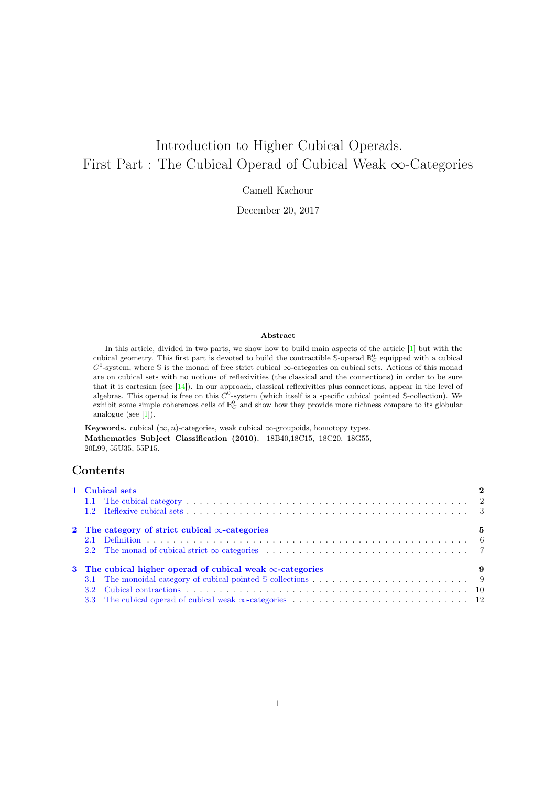# Introduction to Higher Cubical Operads. First Part : The Cubical Operad of Cubical Weak ∞-Categories

Camell Kachour

December 20, 2017

#### Abstract

In this article, divided in two parts, we show how to build main aspects of the article [1] but with the cubical geometry. This first part is devoted to build the contractible  $\mathbb{S}\text{-operad }\mathbb{B}^0_C$  equipped with a cubical  $C^0$ -system, where S is the monad of free strict cubical  $\infty$ -categories on cubical sets. Actions of this monad are on cubical sets with no notions of reflexivities (the classical and the connections) in order to be sure that it is cartesian (see [14]). In our approach, classical reflexivities plus connections, appear in the level of algebras. This operad is free on this  $C<sup>0</sup>$ -system (which itself is a specific cubical pointed S-collection). We exhibit some simple coherences cells of  $\mathbb{B}^0_C$  and show how they provide more richness compare to its globular analogue (see [1]).

Keywords. cubical  $(\infty, n)$ -categories, weak cubical  $\infty$ -groupoids, homotopy types. Mathematics Subject Classification (2010). 18B40,18C15, 18C20, 18G55, 20L99, 55U35, 55P15.

### Contents

| 1 Cubical sets                                                                                                                                                                                               | $\overline{2}$ |
|--------------------------------------------------------------------------------------------------------------------------------------------------------------------------------------------------------------|----------------|
|                                                                                                                                                                                                              |                |
|                                                                                                                                                                                                              |                |
| 2 The category of strict cubical $\infty$ -categories                                                                                                                                                        | - 5            |
|                                                                                                                                                                                                              |                |
|                                                                                                                                                                                                              |                |
| 3 The cubical higher operad of cubical weak $\infty$ -categories<br>$\sim$ 0.000 $\sim$ 0.000 $\sim$ 0.000 $\sim$ 0.000 $\sim$ 0.000 $\sim$ 0.000 $\sim$ 0.000 $\sim$ 0.000 $\sim$ 0.000 $\sim$ 0.000 $\sim$ |                |
|                                                                                                                                                                                                              |                |
|                                                                                                                                                                                                              |                |
|                                                                                                                                                                                                              |                |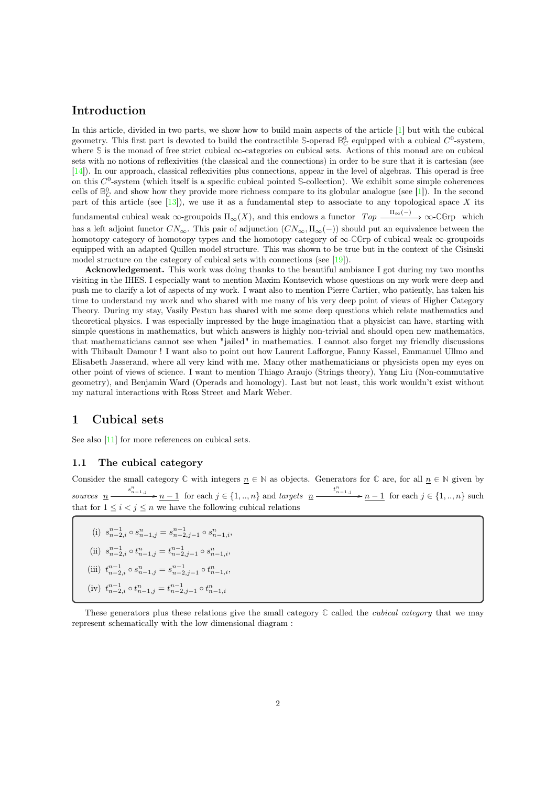## Introduction

In this article, divided in two parts, we show how to build main aspects of the article [1] but with the cubical geometry. This first part is devoted to build the contractible  $\mathbb{S}\text{-operad }\mathbb{B}_C^0$  equipped with a cubical  $C^0$ -system, where **S** is the monad of free strict cubical ∞-categories on cubical sets. Actions of this monad are on cubical sets with no notions of reflexivities (the classical and the connections) in order to be sure that it is cartesian (see [14]). In our approach, classical reflexivities plus connections, appear in the level of algebras. This operad is free on this  $C^0$ -system (which itself is a specific cubical pointed S-collection). We exhibit some simple coherences cells of  $\mathbb{B}_{C}^{0}$  and show how they provide more richness compare to its globular analogue (see [1]). In the second part of this article (see  $[13]$ ), we use it as a fundamental step to associate to any topological space X its fundamental cubical weak  $\infty$ -groupoids  $\Pi_{\infty}(X)$ , and this endows a functor  $Top \xrightarrow{\Pi_{\infty}(-)} \infty$ -CGrp which

has a left adjoint functor  $CN_{\infty}$ . This pair of adjunction  $(CN_{\infty}, \Pi_{\infty}(-))$  should put an equivalence between the homotopy category of homotopy types and the homotopy category of ∞-**CG**rp of cubical weak ∞-groupoids equipped with an adapted Quillen model structure. This was shown to be true but in the context of the Cisinski model structure on the category of cubical sets with connections (see [19]).

Acknowledgement. This work was doing thanks to the beautiful ambiance I got during my two months visiting in the IHES. I especially want to mention Maxim Kontsevich whose questions on my work were deep and push me to clarify a lot of aspects of my work. I want also to mention Pierre Cartier, who patiently, has taken his time to understand my work and who shared with me many of his very deep point of views of Higher Category Theory. During my stay, Vasily Pestun has shared with me some deep questions which relate mathematics and theoretical physics. I was especially impressed by the huge imagination that a physicist can have, starting with simple questions in mathematics, but which answers is highly non-trivial and should open new mathematics, that mathematicians cannot see when "jailed" in mathematics. I cannot also forget my friendly discussions with Thibault Damour ! I want also to point out how Laurent Lafforgue, Fanny Kassel, Emmanuel Ullmo and Elisabeth Jasserand, where all very kind with me. Many other mathematicians or physicists open my eyes on other point of views of science. I want to mention Thiago Araujo (Strings theory), Yang Liu (Non-commutative geometry), and Benjamin Ward (Operads and homology). Last but not least, this work wouldn't exist without my natural interactions with Ross Street and Mark Weber.

# 1 Cubical sets

See also [11] for more references on cubical sets.

#### 1.1 The cubical category

Consider the small category  $\mathbb C$  with integers  $n \in \mathbb N$  as objects. Generators for  $\mathbb C$  are, for all  $n \in \mathbb N$  given by sources  $\underline{n} \longrightarrow \underline{n-1}$  for each  $j \in \{1, ..., n\}$  and targets  $\underline{n} \longrightarrow \underline{n-1}$  for each  $j \in \{1, ..., n\}$  such that for  $1 \leq i \leq j \leq n$  we have the following cubical relations

- (i)  $s_{n-2,i}^{n-1} \circ s_{n-1,j}^n = s_{n-2,j-1}^{n-1} \circ s_{n-1,i}^n$
- (ii)  $s_{n-2,i}^{n-1} \circ t_{n-1,j}^n = t_{n-2,j-1}^{n-1} \circ s_{n-1,i}^n,$ (iii)  $t_{n-2,i}^{n-1} \circ s_{n-1,j}^n = s_{n-2,j-1}^{n-1} \circ t_{n-1,i}^n,$
- 
- (iv)  $t_{n-2,i}^{n-1} \circ t_{n-1,j}^n = t_{n-2,j-1}^{n-1} \circ t_{n-1,i}^n$

These generators plus these relations give the small category **C** called the cubical category that we may represent schematically with the low dimensional diagram :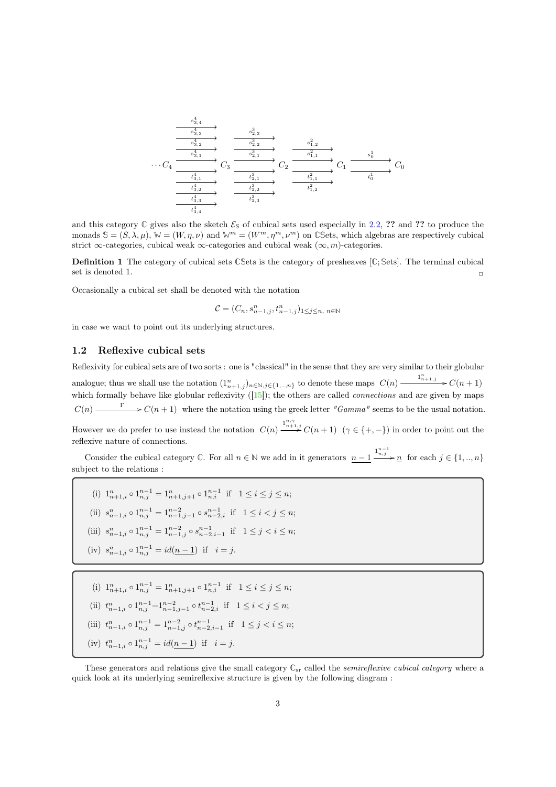$$
\begin{array}{c}\n\begin{array}{c}\n\overrightarrow{s}_{3,4}^{4} \\
\hline\n\overrightarrow{s}_{3,3}^{4} \\
\hline\n\overrightarrow{s}_{3,2}^{4} \\
\hline\n\end{array} & \xrightarrow{\phantom{a}8^{3}_{2,3}} \xrightarrow{\phantom{a}8^{3}_{2,3}} \xrightarrow{\phantom{a}8^{3}_{2,2}} \xrightarrow{\phantom{a}8^{2}_{1,2}} \xrightarrow{\phantom{a}8^{2}_{1,2}} \xrightarrow{\phantom{a}8^{2}_{1,1}} \xrightarrow{\phantom{a}8^{1}_{1,2}} C_{1} \\
\hline\n\overrightarrow{\phantom{a}0}^{t^{4}_{3,1}}_{\phantom{1,1}} & O_{3} \xrightarrow{\phantom{a}1^{3}_{2,1}} C_{2} \xrightarrow{\phantom{a}8^{2}_{1,1}} C_{2} \\
\hline\n\overrightarrow{\phantom{a}0}^{t^{4}_{3,1}}_{\phantom{1,1}} & O_{2} \xrightarrow{\phantom{a}1^{2}_{1,1}} C_{1} \xrightarrow{\phantom{a}8^{1}_{0}} C_{1} \\
\hline\n\overrightarrow{\phantom{a}0}^{t^{4}_{3,2}}_{\phantom{1,1}} & O_{3} \xrightarrow{\phantom{a}1^{3}_{2,2}} C_{2} \xrightarrow{\phantom{a}1^{2}_{2,1}} C_{1} \xrightarrow{\phantom{a}1^{2}_{1,2}} C_{1} \\
\hline\n\overrightarrow{\phantom{a}0}^{t^{4}_{3,2}}_{\phantom{1,1}} & O_{3} \xrightarrow{\phantom{a}1^{2}_{2,2}} C_{2} \xrightarrow{\phantom{a}1^{2}_{1,2}} C_{1} \xrightarrow{\phantom{a}1^{2}_{1,2}} C_{1} \\
\hline\n\overrightarrow{\phantom{a}1}^{t^{4}_{3,2}}_{\phantom{1,1}} & O_{3} \xrightarrow{\phantom{a}1^{2}_{2,1}} C_{2} \xrightarrow{\phantom{a}1^{2}_{1,2}} C_{2} \xrightarrow{\phantom{a}1^{2}_{1,2}} C_{1} \xrightarrow{\phantom{a}1^{2}_{1,2}} C_{1} \\
\hline\n\overrightarrow{\phantom{a}1}^{t^{4}_{3,2}}_{\phantom{1,1}} & O_{3} \xrightarrow{\phantom{a}1^{2}_{2,2}} C_{2} \xrightarrow{\phantom{a}1^{2}_{1,2}}
$$

and this category  $\mathbb C$  gives also the sketch  $\mathcal{E}_S$  of cubical sets used especially in 2.2, ?? and ?? to produce the monads  $\mathcal{S} = (S, \lambda, \mu), \mathcal{W} = (W, \eta, \nu)$  and  $\mathcal{W}^m = (W^m, \eta^m, \nu^m)$  on CSets, which algebras are respectively cubical strict  $\infty$ -categories, cubical weak  $\infty$ -categories and cubical weak  $(\infty, m)$ -categories.

Definition 1 The category of cubical sets **CS**ets is the category of presheaves [**C**; **S**ets]. The terminal cubical set is denoted 1.

Occasionally a cubical set shall be denoted with the notation

$$
\mathcal{C} = (C_n, s_{n-1,j}^n, t_{n-1,j}^n)_{1 \le j \le n, n \in \mathbb{N}}
$$

in case we want to point out its underlying structures.

#### 1.2 Reflexive cubical sets

Reflexivity for cubical sets are of two sorts : one is "classical" in the sense that they are very similar to their globular analogue; thus we shall use the notation  $(1_{n+1,j}^n)_{n \in \mathbb{N}, j \in \{1,\dots,n\}}$  to denote these maps  $C(n) \xrightarrow{\mathbb{1}_{n+1,j}^n} C(n+1)$ which formally behave like globular reflexivity  $([15])$ ; the others are called *connections* and are given by maps  $C(n) \longrightarrow C(n+1)$  where the notation using the greek letter "Gamma" seems to be the usual notation.

However we do prefer to use instead the notation  $C(n) \xrightarrow{1_{n+1,j}^{n,\gamma}} C(n+1)$   $(\gamma \in \{+, -\})$  in order to point out the reflexive nature of connections.

Consider the cubical category  $\mathbb{C}$ . For all  $n \in \mathbb{N}$  we add in it generators  $n-1$   $\frac{1^{n-1}_{n,j}}{n}$  for each  $j \in \{1,..,n\}$ subject to the relations :

- (i)  $1_{n+1,i}^n \circ 1_{n,j}^{n-1} = 1_{n+1,j+1}^n \circ 1_{n,i}^{n-1}$  if  $1 \le i \le j \le n;$
- (ii)  $s_{n-1,i}^n \circ 1_{n,j}^{n-1} = 1_{n-1,j-1}^{n-2} \circ s_{n-2,i}^{n-1}$  if  $1 \le i < j \le n$ ;
- (iii)  $s_{n-1,i}^n \circ 1_{n,j}^{n-1} = 1_{n-1,j}^{n-2} \circ s_{n-2,i-1}^{n-1}$  if  $1 \le j < i \le n;$
- (iv)  $s_{n-1,i}^n \circ 1_{n,j}^{n-1} = id(n-1)$  if  $i = j$ .
- (i)  $1_{n+1,i}^n \circ 1_{n,j}^{n-1} = 1_{n+1,j+1}^n \circ 1_{n,i}^{n-1}$  if  $1 \le i \le j \le n$ ;
- (ii)  $t_{n-1,i}^n \circ 1_{n,j}^{n-1} = 1_{n-1,j-1}^{n-2} \circ t_{n-2,i}^{n-1}$  if  $1 \le i < j \le n$ ;
- (iii)  $t_{n-1,i}^n \circ 1_{n,j}^{n-1} = 1_{n-1,j}^{n-2} \circ t_{n-2,i-1}^{n-1}$  if  $1 \leq j < i \leq n$ ;
- (iv)  $t_{n-1,i}^n \circ 1_{n,j}^{n-1} = id(\underline{n-1})$  if  $i = j$ .

These generators and relations give the small category  $\mathbb{C}_{sr}$  called the *semireflexive cubical category* where a quick look at its underlying semireflexive structure is given by the following diagram :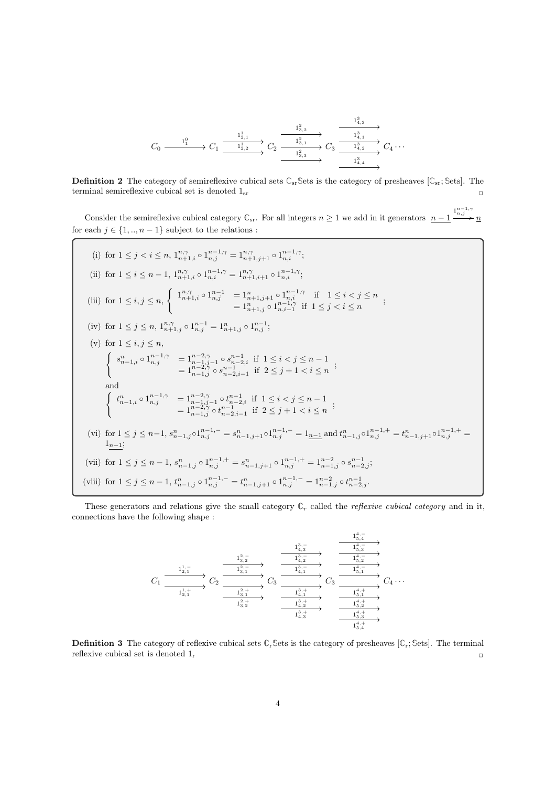$$
C_0 \xrightarrow{\qquad \qquad 1^0_1} C_1 \xrightarrow{\qquad \qquad 1^1_{2,1} \qquad \qquad 1^2_{3,2} \qquad \qquad } C_2 \xrightarrow{\qquad \qquad 1^2_{3,1} \qquad \qquad } C_3 \xrightarrow{\qquad \qquad 1^3_{4,1} \qquad \qquad } C_4 \cdots
$$

**Definition 2** The category of semireflexive cubical sets  $\mathbb{C}_{sr}$  Sets is the category of presheaves [ $\mathbb{C}_{sr}$ ; Sets]. The terminal semireflexive cubical set is denoted  $1_{sr}$   $\Box$ 

Consider the semireflexive cubical category  $\mathbb{C}_{sr}$ . For all integers  $n \geq 1$  we add in it generators  $n-1$   $\frac{1^{n-1,\gamma}}{n,\gamma}$  n for each  $j \in \{1,..,n-1\}$  subject to the relations :

(i) for 
$$
1 \leq j < i \leq n
$$
,  $1^{n,\gamma}_{n+1,i} \circ 1^{n-1,\gamma}_{n,i} = 1^{n,\gamma}_{n+1,j+1} \circ 1^{n-1,\gamma}_{n,i};$ \n(ii) for  $1 \leq i \leq n-1$ ,  $1^{n,\gamma}_{n+1,i} \circ 1^{n-1,\gamma}_{n,i} = 1^{n,\gamma}_{n+1,i+1} \circ 1^{n-1,\gamma}_{n,i};$ \n(iii) for  $1 \leq i, j \leq n$ ,  $\begin{cases} 1^{n,\gamma}_{n+1,i} \circ 1^{n-1}_{n,j} = 1^{n}_{n+1,j+1} \circ 1^{n-1,\gamma}_{n,i} & \text{if } 1 \leq i < j \leq n \\ 1^{n,\gamma}_{n+1,j} \circ 1^{n-1}_{n,j} = 1^{n}_{n+1,j+1} \circ 1^{n-1,\gamma}_{n,i-1} & \text{if } 1 \leq j < i \leq n \end{cases}$ \n(iv) for  $1 \leq j \leq n$ ,  $1^{n,\gamma}_{n+1,j} \circ 1^{n-1}_{n,j} = 1^{n}_{n+1,j} \circ 1^{n-1}_{n,j};$ \n(v) for  $1 \leq i, j \leq n$ ,  $\begin{cases} s^{n}_{n-1,i} \circ 1^{n-1,\gamma}_{n,j} = 1^{n-2,\gamma}_{n-1,i} \circ s^{n-1}_{n-2,i} & \text{if } 1 \leq i < j \leq n-1 \\ 1^{n-2,\gamma}_{n-1,j} \circ s^{n-1}_{n-2,i-1} & \text{if } 2 \leq j+1 < i \leq n \end{cases}$ \nand  $\begin{cases} t^{n}_{n-1,i} \circ 1^{n-1,\gamma}_{n,j} = 1^{n-2,\gamma}_{n-1} \circ t^{n-1}_{n-2,i} & \text{if } 1 \leq i < j \leq n-1 \\ 1^{n-2,\gamma}_{n-1,j} \circ s^{n-1}_{n-2,i-1} & \text{if } 2 \leq j+1 < i \leq n \end{cases}$ \n(vi) for

These generators and relations give the small category  $\mathbb{C}_r$  called the *reflexive cubical category* and in it, connections have the following shape :



Definition 3 The category of reflexive cubical sets **C**r**S**ets is the category of presheaves [**C**r; **S**ets]. The terminal reflexive cubical set is denoted  $1_{\rm r}$   $\hfill \Box$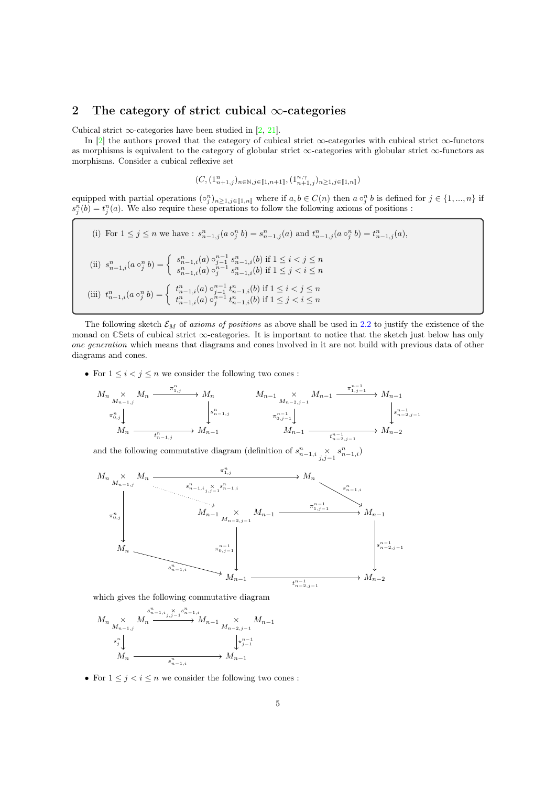## 2 The category of strict cubical  $\infty$ -categories

Cubical strict  $\infty$ -categories have been studied in [2, 21].

In [2] the authors proved that the category of cubical strict ∞-categories with cubical strict ∞-functors as morphisms is equivalent to the category of globular strict ∞-categories with globular strict ∞-functors as morphisms. Consider a cubical reflexive set

$$
(C,(\mathbf{1}_{n+1,j}^n)_{n\in\mathbb{N},j\in[\![1,n+1]\!]},(\mathbf{1}_{n+1,j}^{n,\gamma})_{n\geq 1,j\in[\![1,n]\!]})
$$

equipped with partial operations  $\{ \circ_j^n \}_{n \geq 1, j \in [\![ 1,n ]\!]}$  where if  $a, b \in C(n)$  then  $a \circ_j^n b$  is defined for  $j \in \{1, ..., n\}$  if  $s_j^n(b) = t_j^n(a)$ . We also require these operations to follow the following axioms of positions :

(i) For 
$$
1 \leq j \leq n
$$
 we have :  $s_{n-1,j}^n(a \circ_j^n b) = s_{n-1,j}^n(a)$  and  $t_{n-1,j}^n(a \circ_j^n b) = t_{n-1,j}^n(a)$ ,  
\n(ii)  $s_{n-1,i}^n(a \circ_j^n b) = \begin{cases} s_{n-1,i}^n(a) \circ_{j-1}^{n-1} s_{n-1,i}^n(b) \text{ if } 1 \leq i < j \leq n \\ s_{n-1,i}^n(a) \circ_j^{n-1} s_{n-1,i}^n(b) \text{ if } 1 \leq j < i \leq n \end{cases}$   
\n(iii)  $t_{n-1,i}^n(a \circ_j^n b) = \begin{cases} t_{n-1,i}^n(a) \circ_{j-1}^{n-1} t_{n-1,i}^n(b) \text{ if } 1 \leq i < j \leq n \\ t_{n-1,i}^n(a) \circ_j^{n-1} t_{n-1,i}^n(b) \text{ if } 1 \leq j < i \leq n \end{cases}$ 

The following sketch  $\mathcal{E}_M$  of axioms of positions as above shall be used in 2.2 to justify the existence of the monad on **CS**ets of cubical strict ∞-categories. It is important to notice that the sketch just below has only one generation which means that diagrams and cones involved in it are not build with previous data of other diagrams and cones.

• For  $1 \leq i < j \leq n$  we consider the following two cones :

$$
M_{n} \underset{M_{n-1,j}}{\times} M_{n} \xrightarrow{\pi_{1,j}^{n}} M_{n} \longrightarrow M_{n} \qquad M_{n-1} \underset{M_{n-2,j-1}}{\times} M_{n-1} \xrightarrow{\pi_{1,j-1}^{n-1}} M_{n-1}
$$
  
\n
$$
\pi_{0,j}^{n} \downarrow \qquad \qquad \downarrow s_{n-1,j}^{n}
$$
  
\n
$$
M_{n} \xrightarrow{\pi_{0,j}^{n}} M_{n-1} \qquad \qquad \uparrow s_{n-1,j}^{n-1}
$$
  
\n
$$
M_{n-1} \xrightarrow{\pi_{0,j-1}^{n-1}} M_{n-2}
$$
  
\n
$$
M_{n-1} \xrightarrow{\pi_{n-1,j}^{n-1}} M_{n-2}
$$

and the following commutative diagram (definition of  $s_{n-1,i}^n \underset{j,j-1}{\times} s_{n-1,i}^n$ )



which gives the following commutative diagram

$$
M_n \underset{M_{n-1,j}}{\times} M_n \xrightarrow{s_{n-1,i}^n, \times s_{n-1,i}^n} M_{n-1} \underset{M_{n-2,j-1}}{\times} M_{n-1}
$$
  
\n
$$
\star_j^n \downarrow \underset{M_n}{\times} \underset{s_{n-1,i}^n}{\times} M_{n-1}
$$

• For  $1 \leq j < i \leq n$  we consider the following two cones :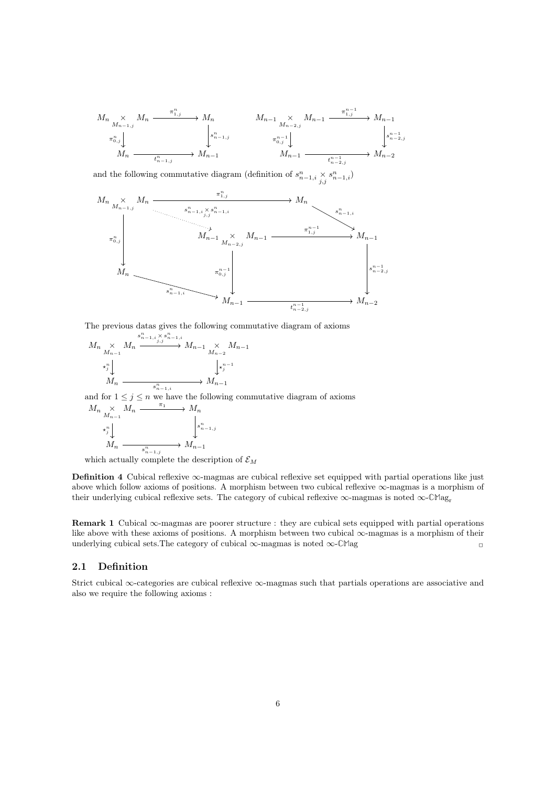$$
M_{n} \xrightarrow[M_{n-1,j} M_{n} \xrightarrow{\pi_{1,j}^{n}} M_{n} \longrightarrow M_{n} \qquad M_{n-1} \xrightarrow[M_{n-2,j} M_{n-1} \xrightarrow{\pi_{1,j}^{n-1}} M_{n-1} \xrightarrow[M_{n-2,j} M_{n-1} \xrightarrow{\pi_{0,j}^{n-1}} \downarrow M_{n} \xrightarrow{\pi_{0,j}^{n-1}} M_{n-1} \longrightarrow M_{n-1} \xrightarrow[M_{n-1} \xrightarrow[M_{n-1,j} M_{n-1} \xrightarrow{\pi_{n-1,j}^{n-1}} M_{n-2} \xrightarrow{\pi_{n-1,j}^{n-1}} M_{n-2} \longrightarrow M_{n-2}
$$

and the following commutative diagram (definition of  $s_{n-1,i}^n \times s_{n-1,i}^n$ )



The previous datas gives the following commutative diagram of axioms

$$
M_n \underset{M_{n-1}}{\times} M_n \xrightarrow{s_{n-1,i}^n \times s_{n-1,i}^n} M_{n-1} \underset{M_{n-2}}{\times} M_{n-1}
$$
  
\n
$$
\star_j^n \downarrow \qquad \qquad \downarrow \star_j^{n-1}
$$
  
\n
$$
M_n \xrightarrow{s_{n-1,i}^n} M_{n-1}
$$

and for  $1 \leq j \leq n$  we have the following commutative diagram of axioms  $M_n \times M$  $\sim M$  $\pi_1$ 

$$
\begin{array}{ccc}\n\stackrel{\wedge}{\stackrel{\wedge}{M_{n-1}}} & \stackrel{\wedge}{\stackrel{\wedge}{M_n}} & & \\
\downarrow^n & & & \\
M_n & & & \\
\hline\n& & & & \\
M_n & & & \\
\end{array}
$$

which actually complete the description of  $\mathcal{E}_M$ 

Definition 4 Cubical reflexive ∞-magmas are cubical reflexive set equipped with partial operations like just above which follow axioms of positions. A morphism between two cubical reflexive ∞-magmas is a morphism of their underlying cubical reflexive sets. The category of cubical reflexive ∞-magmas is noted ∞-**CM**ag<sup>r</sup>

Remark 1 Cubical ∞-magmas are poorer structure : they are cubical sets equipped with partial operations like above with these axioms of positions. A morphism between two cubical ∞-magmas is a morphism of their underlying cubical sets.The category of cubical ∞-magmas is noted ∞-**CM**ag 
<sub>□</sub>

### 2.1 Definition

Strict cubical ∞-categories are cubical reflexive ∞-magmas such that partials operations are associative and also we require the following axioms :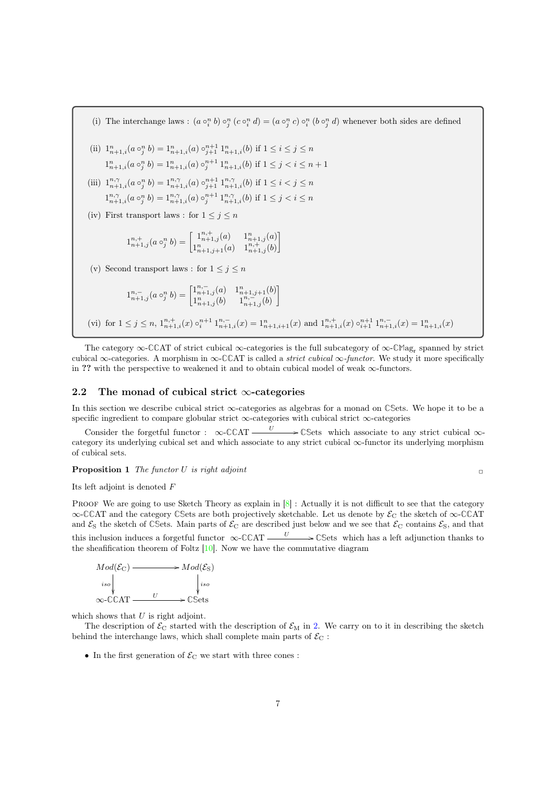(i) The interchange laws :  $(a \circ_i^n b) \circ_j^n (c \circ_i^n d) = (a \circ_j^n c) \circ_i^n (b \circ_j^n d)$  whenever both sides are defined

- (ii)  $1_{n+1,i}^n (a \circ_j^n b) = 1_{n+1,i}^n (a) \circ_{j+1}^{n+1} 1_{n+1,i}^n (b)$  if  $1 \le i \le j \le n$  $1_{n+1,i}^n (a \circ_j^n b) = 1_{n+1,i}^n (a) \circ_j^{n+1} 1_{n+1,i}^n (b)$  if  $1 \leq j < i \leq n+1$
- (iii)  $1_{n+1,i}^{n,\gamma}(a \circ_j^n b) = 1_{n+1,i}^{n,\gamma}(a) \circ_{j+1}^{n+1} 1_{n+1,i}^{n,\gamma}(b)$  if  $1 \le i < j \le n$  $1^{n,\gamma}_{n+1,i}(a\circ_j^n b) = 1^{n,\gamma}_{n+1,i}(a)\circ_j^{n+1} 1^{n,\gamma}_{n+1,i}(b)$  if  $1 \leq j < i \leq n$
- (iv) First transport laws : for  $1 \leq j \leq n$

$$
1^{n,+}_{n+1,j}(a\circ_j^n b) = \begin{bmatrix} 1^{n,+}_{n+1,j}(a) & 1^{n}_{n+1,j}(a) \\ 1^{n}_{n+1,j+1}(a) & 1^{n,+}_{n+1,j}(b) \end{bmatrix}
$$

(v) Second transport laws : for  $1 \leq j \leq n$ 

$$
1^{n,-}_{n+1,j}(a\circ_j^n b) = \begin{bmatrix} 1^{n,-}_{n+1,j}(a) & 1^{n}_{n+1,j+1}(b) \\ 1^{n}_{n+1,j}(b) & 1^{n,-}_{n+1,j}(b) \end{bmatrix}
$$

(vi) for  $1 \leq j \leq n$ ,  $1^{n,+}_{n+1,i}(x) \circ_i^{n+1} 1^{n,-}_{n+1,i}(x) = 1^{n}_{n+1,i+1}(x)$  and  $1^{n,+}_{n+1,i}(x) \circ_{i+1}^{n+1} 1^{n,-}_{n+1,i}(x) = 1^{n}_{n+1,i}(x)$ 

The category ∞-**CC**AT of strict cubical ∞-categories is the full subcategory of ∞-**CM**ag<sup>r</sup> spanned by strict cubical ∞-categories. A morphism in ∞-**CC**AT is called a strict cubical ∞-functor. We study it more specifically in ?? with the perspective to weakened it and to obtain cubical model of weak  $\infty$ -functors.

#### 2.2 The monad of cubical strict  $\infty$ -categories

In this section we describe cubical strict ∞-categories as algebras for a monad on **CS**ets. We hope it to be a specific ingredient to compare globular strict  $\infty$ -categories with cubical strict  $\infty$ -categories

Consider the forgetful functor :  $\infty$ -CCAT  $\frac{U}{\sqrt{C}}$  Sets which associate to any strict cubical  $\infty$ category its underlying cubical set and which associate to any strict cubical ∞-functor its underlying morphism of cubical sets.

**Proposition 1** The functor U is right adjoint  $\Box$ 

Its left adjoint is denoted F

PROOF We are going to use Sketch Theory as explain in  $[8]$ : Actually it is not difficult to see that the category ∞-**CC**AT and the category **CS**ets are both projectively sketchable. Let us denote by E<sup>C</sup> the sketch of ∞-**CC**AT and  $\mathcal{E}_S$  the sketch of CSets. Main parts of  $\mathcal{E}_C$  are described just below and we see that  $\mathcal{E}_C$  contains  $\mathcal{E}_S$ , and that this inclusion induces a forgetful functor  $\infty$ -CCAT  $\frac{U}{\sqrt{C}}$  CSets which has a left adjunction thanks to the sheafification theorem of Foltz [10]. Now we have the commutative diagram



which shows that  $U$  is right adjoint.

The description of  $\mathcal{E}_{\text{C}}$  started with the description of  $\mathcal{E}_{\text{M}}$  in 2. We carry on to it in describing the sketch behind the interchange laws, which shall complete main parts of  $\mathcal{E}_{\text{C}}$ :

 $\bullet\,$  In the first generation of  $\mathcal{E}_{\rm C}$  we start with three cones :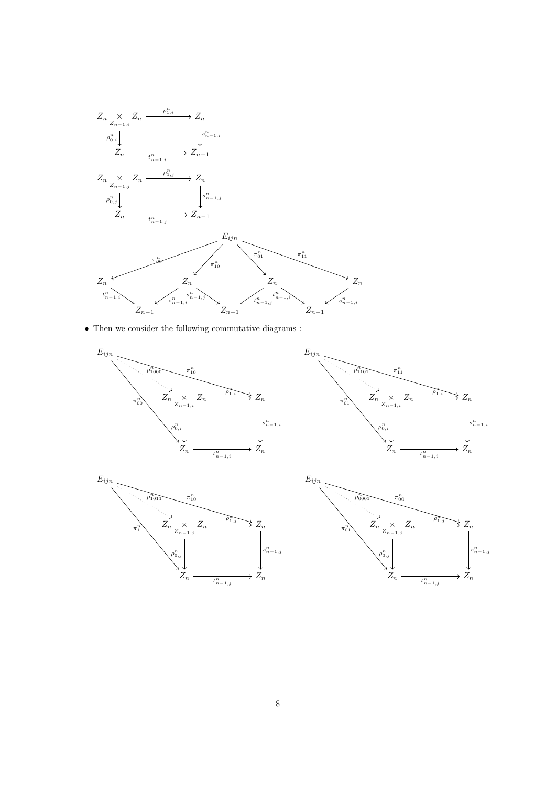

 $\bullet\,$  Then we consider the following commutative diagrams :







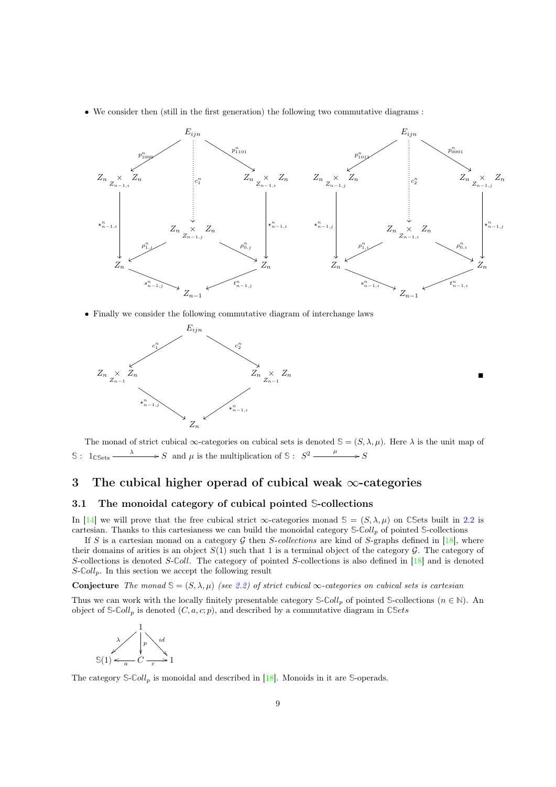• We consider then (still in the first generation) the following two commutative diagrams :



П

• Finally we consider the following commutative diagram of interchange laws



The monad of strict cubical  $\infty$ -categories on cubical sets is denoted  $\mathcal{S} = (S, \lambda, \mu)$ . Here  $\lambda$  is the unit map of S:  $1_{\text{CSets}} \xrightarrow{\lambda} S$  and  $\mu$  is the multiplication of S:  $S^2 \xrightarrow{\mu} S$ 

# 3 The cubical higher operad of cubical weak  $\infty$ -categories

#### 3.1 The monoidal category of cubical pointed **S**-collections

In [14] we will prove that the free cubical strict  $\infty$ -categories monad  $\mathcal{S} = (S, \lambda, \mu)$  on CSets built in 2.2 is cartesian. Thanks to this cartesianess we can build the monoidal category **S**-**C**oll<sup>p</sup> of pointed **S**-collections

If S is a cartesian monad on a category G then S-collections are kind of S-graphs defined in [18], where their domains of arities is an object  $S(1)$  such that 1 is a terminal object of the category  $\mathcal G$ . The category of S-collections is denoted S-**C**oll. The category of pointed S-collections is also defined in [18] and is denoted  $S\text{-}Coll_p$ . In this section we accept the following result

**Conjecture** The monad  $\mathcal{S} = (S, \lambda, \mu)$  (see 2.2) of strict cubical  $\infty$ -categories on cubical sets is cartesian

Thus we can work with the locally finitely presentable category  $\mathcal{S}\text{-}Coll_n$  of pointed  $\mathcal{S}\text{-}collections$   $(n \in \mathbb{N})$ . An object of  $\mathcal{S}\text{-}Coll_p$  is denoted  $(C, a, c; p)$ , and described by a commutative diagram in  $\mathbb{C}Sets$ 



The category  $\mathcal{S}\text{-}Coll_p$  is monoidal and described in [18]. Monoids in it are  $\mathcal{S}\text{-}operads$ .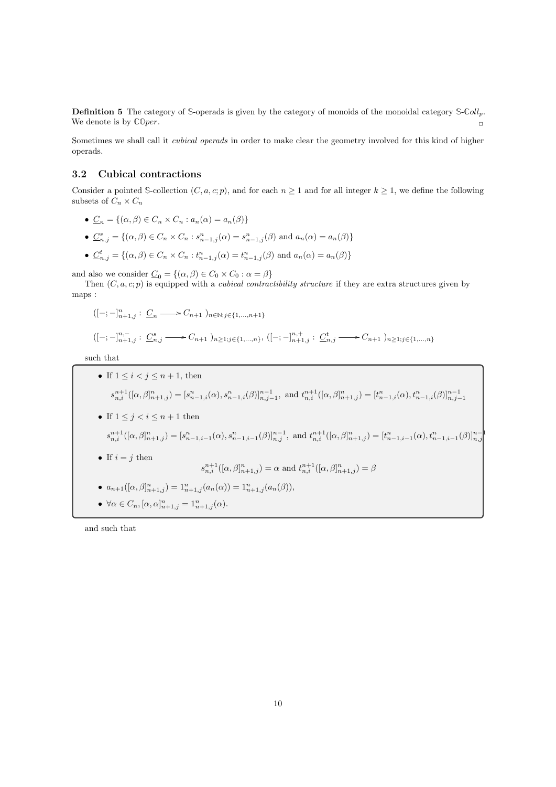Definition 5 The category of **S**-operads is given by the category of monoids of the monoidal category **S**-**C**ollp. We denote is by  $\mathbb{C} \mathbb{O} per$ .

Sometimes we shall call it *cubical operads* in order to make clear the geometry involved for this kind of higher operads.

### 3.2 Cubical contractions

Consider a pointed S-collection  $(C, a, c; p)$ , and for each  $n \geq 1$  and for all integer  $k \geq 1$ , we define the following subsets of  $C_n \times C_n$ 

- $\underline{C}_n = \{(\alpha, \beta) \in C_n \times C_n : a_n(\alpha) = a_n(\beta)\}\$
- $\underline{C}_{n,j}^s = \{(\alpha, \beta) \in C_n \times C_n : s_{n-1,j}^n(\alpha) = s_{n-1,j}^n(\beta) \text{ and } a_n(\alpha) = a_n(\beta)\}\$
- $\underline{C}_{n,j}^t = \{(\alpha, \beta) \in C_n \times C_n : t_{n-1,j}^n(\alpha) = t_{n-1,j}^n(\beta) \text{ and } a_n(\alpha) = a_n(\beta) \}$

and also we consider  $\underline{C}_0 = \{(\alpha, \beta) \in C_0 \times C_0 : \alpha = \beta\}$ 

Then  $(C, a, c; p)$  is equipped with a *cubical contractibility structure* if they are extra structures given by maps :

$$
([-;-]_{n+1,j}^n : \underline{C}_n \longrightarrow C_{n+1} )_{n \in \mathbb{N}; j \in \{1,\dots,n+1\}}
$$

$$
([-;-]_{n+1,j}^{n,-} : \underline{C}_{n,j}^s \longrightarrow C_{n+1})_{n \ge 1; j \in \{1,\dots,n\}}, ([-;-]_{n+1,j}^{n,+} : \underline{C}_{n,j}^t \longrightarrow C_{n+1})_{n \ge 1; j \in \{1,\dots,n\}}
$$

such that

\n- \n If 
$$
1 \leq i < j \leq n+1
$$
, then\n 
$$
s_{n,i}^{n+1}([\alpha,\beta]_{n+1,j}^n) = [s_{n-1,i}^n(\alpha), s_{n-1,i}^n(\beta)]_{n,j-1}^{n-1}, \text{ and } t_{n,i}^{n+1}([\alpha,\beta]_{n+1,j}^n) = [t_{n-1,i}^n(\alpha), t_{n-1,i}^n(\beta)]_{n,j-1}^{n-1}
$$
\n
\n- \n If  $1 \leq j < i \leq n+1$  then\n 
$$
s_{n,i}^{n+1}([\alpha,\beta]_{n+1,j}^n) = [s_{n-1,i-1}^n(\alpha), s_{n-1,i-1}^n(\beta)]_{n,j}^{n-1}, \text{ and } t_{n,i}^{n+1}([\alpha,\beta]_{n+1,j}^n) = [t_{n-1,i-1}^n(\alpha), t_{n-1,i-1}^n(\beta)]_{n,j}^{n-1}
$$
\n
\n- \n If  $i = j$  then\n 
$$
s_{n,i}^{n+1}([\alpha,\beta]_{n+1,j}^n) = \alpha \text{ and } t_{n,i}^{n+1}([\alpha,\beta]_{n+1,j}^n) = \beta
$$
\n
\n- \n 
$$
a_{n+1}([\alpha,\beta]_{n+1,j}^n) = 1_{n+1,j}^n(a_n(\alpha)) = 1_{n+1,j}^n(a_n(\beta)),
$$
\n
\n- \n 
$$
\forall \alpha \in C_n, [\alpha,\alpha]_{n+1,j}^n = 1_{n+1,j}^n(\alpha).
$$
\n
\n

and such that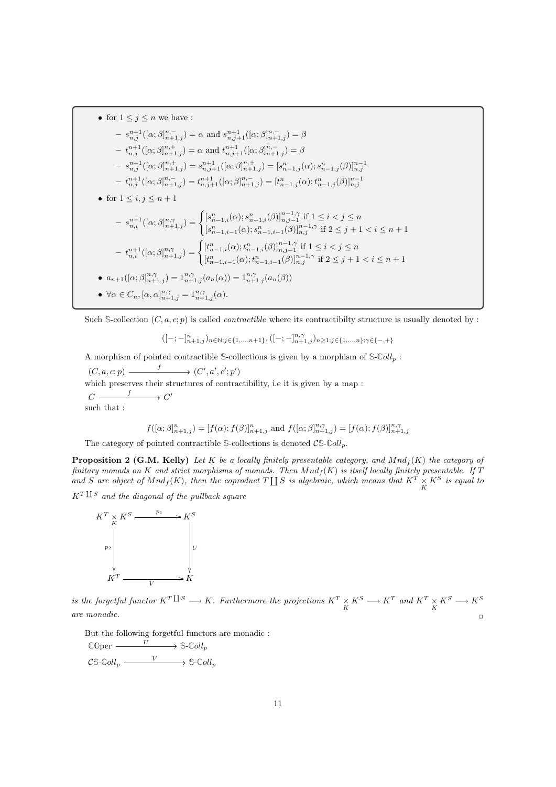• for 
$$
1 \leq j \leq n
$$
 we have :  
\n
$$
- s_{n,j}^{n+1}([\alpha; \beta]_{n+1,j}^{n,-}) = \alpha \text{ and } s_{n,j+1}^{n+1}([\alpha; \beta]_{n+1,j}^{n,-}) = \beta
$$
\n
$$
- t_{n,j}^{n+1}([\alpha; \beta]_{n+1,j}^{n,+}) = \alpha \text{ and } t_{n,j+1}^{n+1}([\alpha; \beta]_{n+1,j}^{n,-}) = \beta
$$
\n
$$
- s_{n,j}^{n+1}([\alpha; \beta]_{n+1,j}^{n,+}) = s_{n,j+1}^{n+1}([\alpha; \beta]_{n+1,j}^{n,+}) = [s_{n-1,j}^n(\alpha); s_{n-1,j}^n(\beta)]_{n,j}^{n-1}
$$
\n
$$
- t_{n,j}^{n+1}([\alpha; \beta]_{n+1,j}^{n,-}) = t_{n,j+1}^{n+1}([\alpha; \beta]_{n+1,j}^{n,-}) = [t_{n-1,j}^n(\alpha); t_{n-1,j}^n(\beta)]_{n,j}^{n-1}
$$
\n• for  $1 \leq i, j \leq n+1$ \n
$$
- s_{n,i}^{n+1}([\alpha; \beta]_{n+1,j}^{n,\gamma}) = \begin{cases} [s_{n-1,i}^n(\alpha); s_{n-1,i}^n(\beta)]_{n,j-1}^{n-1,\gamma} \text{ if } 1 \leq i < j \leq n\\ [s_{n-1,i-1}^n(\alpha); s_{n-1,i-1}^n(\beta)]_{n,j}^{n-1,\gamma} \text{ if } 2 \leq j+1 < i \leq n+1 \end{cases}
$$
\n
$$
- t_{n,i}^{n+1}([\alpha; \beta]_{n+1,j}^{n,\gamma}) = \begin{cases} [t_{n-1,i}^n(\alpha); t_{n-1,i}^n(\beta)]_{n,j-1}^{n-1,\gamma} \text{ if } 1 \leq i < j \leq n\\ [t_{n-1,i-1}^n(\alpha); t_{n-1,i-1}^n(\beta)]_{n,j}^{n-1,\gamma} \text{ if } 2 \leq j+1 < i \leq n+1 \end{cases}
$$
\n•  $a_{n+1}([\alpha; \beta]_{n+1,j}^{n,\gamma}) = 1_{n+1,j}^n$ 

Such  $\mathcal{S}\text{-collection } (C, a, c; p)$  is called *contractible* where its contractibilty structure is usually denoted by :

$$
([-;-]_{n+1,j}^{n})_{n\in\mathbb{N};j\in\{1,...,n+1\}}, ([-;-]_{n+1,j}^{n,\gamma})_{n\geq1;j\in\{1,...,n\};\gamma\in\{-,+\}}
$$

A morphism of pointed contractible **S**-collections is given by a morphism of **S**-**C**oll<sup>p</sup> :

 $(C, a, c; p) \longrightarrow (C', a', c'; p')$ which preserves their structures of contractibility, i.e it is given by a map :  $C \longrightarrow C'$ such that :

$$
f([\alpha;\beta]_{n+1,j}^n) = [f(\alpha);f(\beta)]_{n+1,j}^n \text{ and } f([\alpha;\beta]_{n+1,j}^{n,\gamma}) = [f(\alpha);f(\beta)]_{n+1,j}^{n,\gamma}
$$

The category of pointed contractible  $\mathcal{S}\text{-collections}$  is denoted  $\mathcal{CS}\text{-}\mathcal{C}oll_p$ .

**Proposition 2 (G.M. Kelly)** Let K be a locally finitely presentable category, and  $Mnd_f(K)$  the category of finitary monads on K and strict morphisms of monads. Then  $Mnd_f(K)$  is itself locally finitely presentable. If T and S are object of  $Mnd_f(K)$ , then the coproduct  $T \coprod S$  is algebraic, which means that  $K^T \times K^S$  is equal to  $K^T \amalg S$  and the diagonal of the pullback square



is the forgetful functor  $K^T \amalg^S \longrightarrow K$ . Furthermore the projections  $K^T \times K^S \longrightarrow K^T$  and  $K^T \times K^S \longrightarrow K^S$ are monadic.  $\Box$ 

But the following forgetful functors are monadic :

 $\mathbb{C} \mathbb{O} \text{per} \longrightarrow \mathbb{S}\text{-}\mathbb{C} \text{oll}_p$  $\mathcal{CS}\text{-}\mathbb{C}oll_p \xrightarrow{V} \mathbb{S}\text{-}\mathbb{C}oll_p$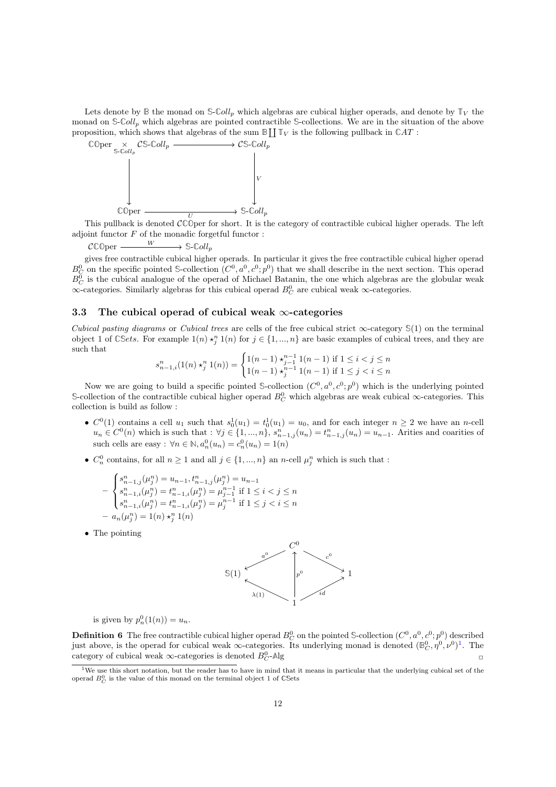Lets denote by  $\mathbb{B}$  the monad on  $\mathbb{S}\text{-}Coll_p$  which algebras are cubical higher operads, and denote by  $\mathbb{T}_V$  the monad on **S**-**C**oll<sup>p</sup> which algebras are pointed contractible **S**-collections. We are in the situation of the above proposition, which shows that algebras of the sum  $\mathbb{B} \coprod \mathbb{T}_V$  is the following pullback in  $\mathbb{C}AT$ :



This pullback is denoted  $\mathcal{C}^{\mathbb{C}}$ Oper for short. It is the category of contractible cubical higher operads. The left adjoint functor  $F$  of the monadic forgetful functor :

 $C \mathbb{C} \mathbb{O} \text{per} \longrightarrow \mathbb{S} \text{-}\mathbb{C} \text{oll}_p$ W

gives free contractible cubical higher operads. In particular it gives the free contractible cubical higher operad  $B_C^0$  on the specific pointed S-collection  $(C^0, a^0, c^0; p^0)$  that we shall describe in the next section. This operad  $B_C^0$  is the cubical analogue of the operad of Michael Batanin, the one which algebras are the globular weak  $\infty$ -categories. Similarly algebras for this cubical operad  $B_C^0$  are cubical weak  $\infty$ -categories.

### 3.3 The cubical operad of cubical weak  $\infty$ -categories

Cubical pasting diagrams or Cubical trees are cells of the free cubical strict  $\infty$ -category  $\mathcal{S}(1)$  on the terminal object 1 of CSets. For example  $1(n) \star_j^n 1(n)$  for  $j \in \{1, ..., n\}$  are basic examples of cubical trees, and they are such that

$$
s_{n-1,i}^n(1(n) \star_j^n 1(n)) = \begin{cases} 1(n-1) \star_{j-1}^{n-1} 1(n-1) & \text{if } 1 \le i < j \le n \\ 1(n-1) \star_j^{n-1} 1(n-1) & \text{if } 1 \le j < i \le n \end{cases}
$$

Now we are going to build a specific pointed S-collection  $(C^0, a^0, c^0; p^0)$  which is the underlying pointed S-collection of the contractible cubical higher operad  $B_C^0$  which algebras are weak cubical ∞-categories. This collection is build as follow :

- $C^0(1)$  contains a cell  $u_1$  such that  $s_0^1(u_1) = t_0^1(u_1) = u_0$ , and for each integer  $n \geq 2$  we have an *n*-cell  $u_n \in C^0(n)$  which is such that :  $\forall j \in \{1, ..., n\}, s_{n-1,j}^n(u_n) = t_{n-1,j}^n(u_n) = u_{n-1}$ . Arities and coarities of such cells are easy :  $\forall n \in \mathbb{N}, a_n^0(u_n) = c_n^0(u_n) = 1(n)$
- $C_n^0$  contains, for all  $n \geq 1$  and all  $j \in \{1, ..., n\}$  an *n*-cell  $\mu_j^n$  which is such that :

$$
-\begin{cases} s_{n-1,j}^n(\mu_j^n) = u_{n-1}, t_{n-1,j}^n(\mu_j^n) = u_{n-1} \\ s_{n-1,i}^n(\mu_j^n) = t_{n-1,i}^n(\mu_j^n) = \mu_{j-1}^{n-1} \text{ if } 1 \le i < j \le n \\ s_{n-1,i}^n(\mu_j^n) = t_{n-1,i}^n(\mu_j^n) = \mu_j^{n-1} \text{ if } 1 \le j < i \le n \\ -a_n(\mu_j^n) = 1(n) \star_j^n 1(n) \end{cases}
$$

• The pointing



is given by  $p_n^0(1(n)) = u_n$ .

**Definition 6** The free contractible cubical higher operad  $B_C^0$  on the pointed S-collection  $(C^0, a^0, c^0; p^0)$  described just above, is the operad for cubical weak  $\infty$ -categories. Its underlying monad is denoted  $(\mathbb{B}_{\mathbb{C}}^0, \eta^0, \nu^0)^1$ . The category of cubical weak  $\infty$ -categories is denoted  $B_C^0$ -Alg  $C$ **-** $\mathbb{A}$ lg  $\Box$ 

<sup>&</sup>lt;sup>1</sup>We use this short notation, but the reader has to have in mind that it means in particular that the underlying cubical set of the operad  $B_C^0$  is the value of this monad on the terminal object 1 of  $\mathbb{C}$ Sets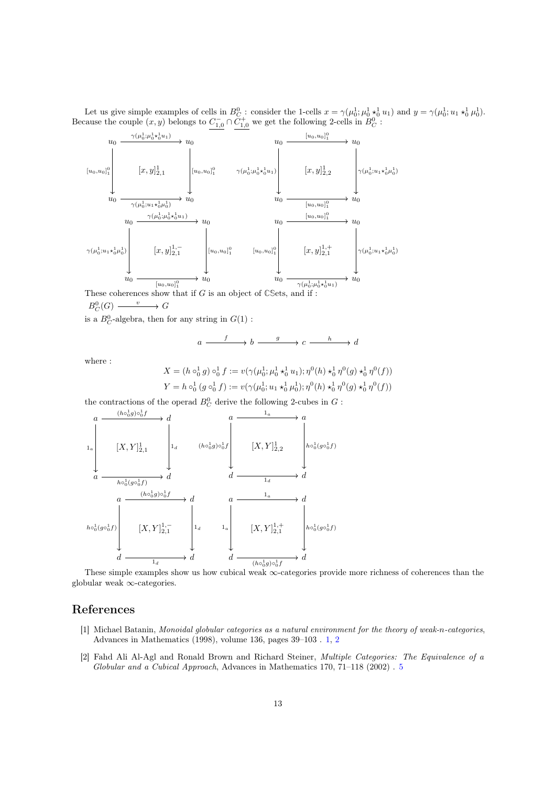Let us give simple examples of cells in  $B_C^0$ : consider the 1-cells  $x = \gamma(\mu_0^1; \mu_0^1 *_0^1 u_1)$  and  $y = \gamma(\mu_0^1; u_1 *_0^1 u_0^1)$ . Because the couple  $(x, y)$  belongs to  $C_{1,0}^- \cap C_{1,0}^+$  we get the following 2-cells in  $B_C^0$ :



is a  $B_C^0$ -algebra, then for any string in  $G(1)$ :

 $a \xrightarrow{f} b \xrightarrow{g} c \xrightarrow{n} d$  $f$   $h$   $g$   $h$ 

where :

$$
X = (h \circ_0^1 g) \circ_0^1 f := v(\gamma(\mu_0^1; \mu_0^1 \star_0^1 u_1); \eta^0(h) \star_0^1 \eta^0(g) \star_0^1 \eta^0(f))
$$
  

$$
Y = h \circ_0^1 (g \circ_0^1 f) := v(\gamma(\mu_0^1; u_1 \star_0^1 \mu_0^1); \eta^0(h) \star_0^1 \eta^0(g) \star_0^1 \eta^0(f))
$$

the contractions of the operad  $B_C^0$  derive the following 2-cubes in  $G$ :



These simple examples show us how cubical weak ∞-categories provide more richness of coherences than the globular weak ∞-categories.

### References

- [1] Michael Batanin, Monoidal globular categories as a natural environment for the theory of weak-n-categories, Advances in Mathematics (1998), volume 136, pages 39–103 . 1, 2
- [2] Fahd Ali Al-Agl and Ronald Brown and Richard Steiner, Multiple Categories: The Equivalence of a Globular and a Cubical Approach, Advances in Mathematics 170, 71–118 (2002) . 5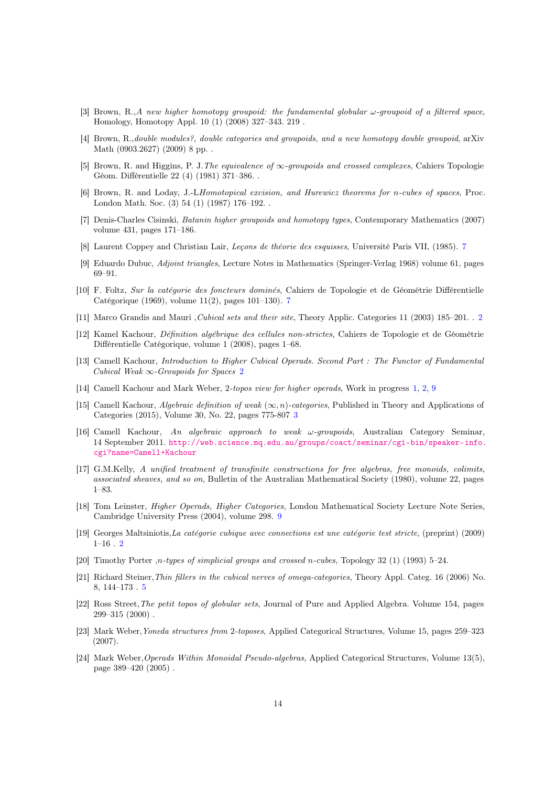- [3] Brown, R.,A new higher homotopy groupoid: the fundamental globular  $\omega$ -groupoid of a filtered space, Homology, Homotopy Appl. 10 (1) (2008) 327–343. 219 .
- [4] Brown, R.,double modules?, double categories and groupoids, and a new homotopy double groupoid, arXiv Math (0903.2627) (2009) 8 pp. .
- [5] Brown, R. and Higgins, P. J.The equivalence of ∞-groupoids and crossed complexes, Cahiers Topologie Géom. Différentielle 22 (4) (1981) 371–386. .
- [6] Brown, R. and Loday, J.-LHomotopical excision, and Hurewicz theorems for n-cubes of spaces, Proc. London Math. Soc. (3) 54 (1) (1987) 176–192. .
- [7] Denis-Charles Cisinski, Batanin higher groupoids and homotopy types, Contemporary Mathematics (2007) volume 431, pages 171–186.
- [8] Laurent Coppey and Christian Lair, Leçons de théorie des esquisses, Université Paris VII, (1985). 7
- [9] Eduardo Dubuc, Adjoint triangles, Lecture Notes in Mathematics (Springer-Verlag 1968) volume 61, pages 69–91.
- [10] F. Foltz, Sur la catégorie des foncteurs dominés, Cahiers de Topologie et de Géométrie Différentielle Catégorique (1969), volume 11(2), pages 101–130). 7
- [11] Marco Grandis and Mauri ,Cubical sets and their site, Theory Applic. Categories 11 (2003) 185–201. . 2
- [12] Kamel Kachour, Définition algébrique des cellules non-strictes, Cahiers de Topologie et de Géométrie Différentielle Catégorique, volume 1 (2008), pages 1–68.
- [13] Camell Kachour, Introduction to Higher Cubical Operads. Second Part : The Functor of Fundamental Cubical Weak  $\infty$ -Groupoids for Spaces 2
- [14] Camell Kachour and Mark Weber, 2-topos view for higher operads, Work in progress 1, 2, 9
- [15] Camell Kachour, *Algebraic definition of weak* ( $\infty$ , *n*)-categories, Published in Theory and Applications of Categories (2015), Volume 30, No. 22, pages 775-807 3
- [16] Camell Kachour, An algebraic approach to weak ω-groupoids, Australian Category Seminar, 14 September 2011. http://web.science.mq.edu.au/groups/coact/seminar/cgi-bin/speaker-info. cgi?name=Camell+Kachour
- [17] G.M.Kelly, A unified treatment of transfinite constructions for free algebras, free monoids, colimits, associated sheaves, and so on, Bulletin of the Australian Mathematical Society (1980), volume 22, pages 1–83.
- [18] Tom Leinster, *Higher Operads, Higher Categories*, London Mathematical Society Lecture Note Series, Cambridge University Press (2004), volume 298. 9
- [19] Georges Maltsiniotis,La catégorie cubique avec connections est une catégorie test stricte, (preprint) (2009)  $1-16$  . 2
- [20] Timothy Porter ,n-types of simplicial groups and crossed n-cubes, Topology 32 (1) (1993) 5–24.
- [21] Richard Steiner,Thin fillers in the cubical nerves of omega-categories, Theory Appl. Categ. 16 (2006) No. 8, 144–173 . 5
- [22] Ross Street,The petit topos of globular sets, Journal of Pure and Applied Algebra. Volume 154, pages  $299-315(2000)$ .
- [23] Mark Weber,Yoneda structures from 2-toposes, Applied Categorical Structures, Volume 15, pages 259–323 (2007).
- [24] Mark Weber,Operads Within Monoidal Pseudo-algebras, Applied Categorical Structures, Volume 13(5), page 389–420 (2005) .